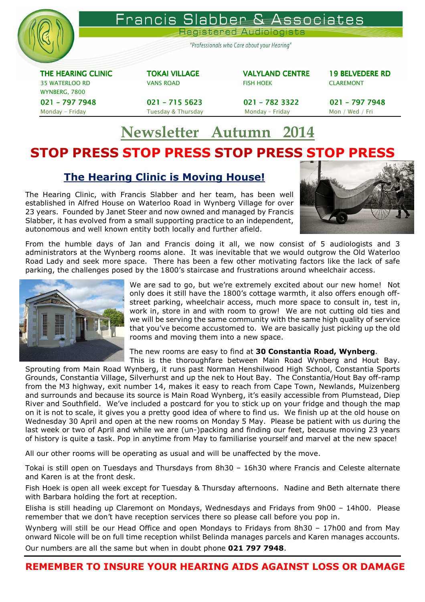

# Newsletter Autumn 2014

# STOP PRESS STOP PRESS STOP PRESS STOP PRESS

# The Hearing Clinic is Moving House!

The Hearing Clinic, with Francis Slabber and her team, has been well established in Alfred House on Waterloo Road in Wynberg Village for over 23 years. Founded by Janet Steer and now owned and managed by Francis Slabber, it has evolved from a small supporting practice to an independent, autonomous and well known entity both locally and further afield.



From the humble days of Jan and Francis doing it all, we now consist of 5 audiologists and 3 administrators at the Wynberg rooms alone. It was inevitable that we would outgrow the Old Waterloo Road Lady and seek more space. There has been a few other motivating factors like the lack of safe parking, the challenges posed by the 1800's staircase and frustrations around wheelchair access.



We are sad to go, but we're extremely excited about our new home! Not only does it still have the 1800's cottage warmth, it also offers enough offstreet parking, wheelchair access, much more space to consult in, test in, work in, store in and with room to grow! We are not cutting old ties and we will be serving the same community with the same high quality of service that you've become accustomed to. We are basically just picking up the old rooms and moving them into a new space.

The new rooms are easy to find at 30 Constantia Road, Wynberg.

This is the thoroughfare between Main Road Wynberg and Hout Bay. Sprouting from Main Road Wynberg, it runs past Norman Henshilwood High School, Constantia Sports Grounds, Constantia Village, Silverhurst and up the nek to Hout Bay. The Constantia/Hout Bay off-ramp from the M3 highway, exit number 14, makes it easy to reach from Cape Town, Newlands, Muizenberg and surrounds and because its source is Main Road Wynberg, it's easily accessible from Plumstead, Diep River and Southfield. We've included a postcard for you to stick up on your fridge and though the map on it is not to scale, it gives you a pretty good idea of where to find us. We finish up at the old house on Wednesday 30 April and open at the new rooms on Monday 5 May. Please be patient with us during the last week or two of April and while we are (un-)packing and finding our feet, because moving 23 years of history is quite a task. Pop in anytime from May to familiarise yourself and marvel at the new space!

All our other rooms will be operating as usual and will be unaffected by the move.

Tokai is still open on Tuesdays and Thursdays from 8h30 – 16h30 where Francis and Celeste alternate and Karen is at the front desk.

Fish Hoek is open all week except for Tuesday & Thursday afternoons. Nadine and Beth alternate there with Barbara holding the fort at reception.

Elisha is still heading up Claremont on Mondays, Wednesdays and Fridays from 9h00 – 14h00. Please remember that we don't have reception services there so please call before you pop in.

Wynberg will still be our Head Office and open Mondays to Fridays from 8h30 – 17h00 and from May onward Nicole will be on full time reception whilst Belinda manages parcels and Karen manages accounts.

Our numbers are all the same but when in doubt phone 021 797 7948.

REMEMBER TO INSURE YOUR HEARING AIDS AGAINST LOSS OR DAMAGE